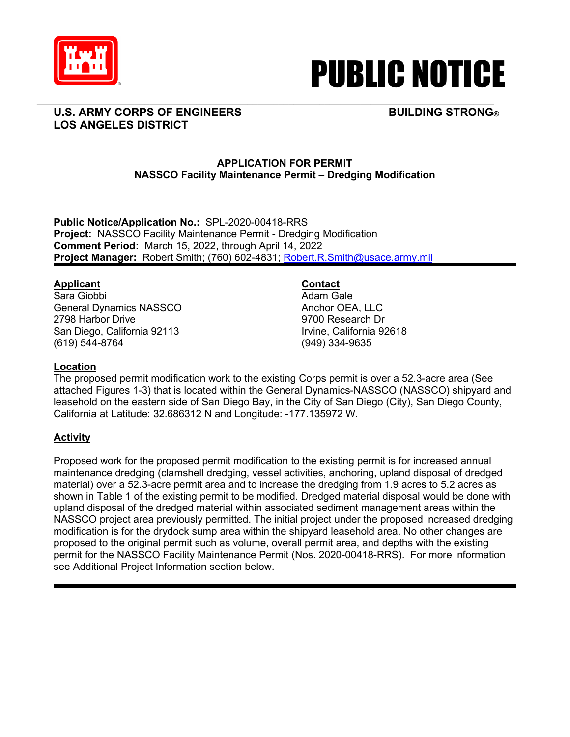

# PUBLIC NOTICE

# **U.S. ARMY CORPS OF ENGINEERS BUILDING STRONG® LOS ANGELES DISTRICT**

# **APPLICATION FOR PERMIT NASSCO Facility Maintenance Permit – Dredging Modification**

**Public Notice/Application No.:** SPL-2020-00418-RRS **Project:** NASSCO Facility Maintenance Permit - Dredging Modification **Comment Period:** March 15, 2022, through April 14, 2022 **Project Manager:** Robert Smith; (760) 602-4831; Robert.R.Smith@usace.army.mil

# **Applicant**

Sara Giobbi General Dynamics NASSCO 2798 Harbor Drive San Diego, California 92113 (619) 544-8764

# **Contact**

Adam Gale Anchor OEA, LLC 9700 Research Dr Irvine, California 92618 (949) 334-9635

# **Location**

The proposed permit modification work to the existing Corps permit is over a 52.3-acre area (See attached Figures 1-3) that is located within the General Dynamics-NASSCO (NASSCO) shipyard and leasehold on the eastern side of San Diego Bay, in the City of San Diego (City), San Diego County, California at Latitude: 32.686312 N and Longitude: -177.135972 W.

# **Activity**

Proposed work for the proposed permit modification to the existing permit is for increased annual maintenance dredging (clamshell dredging, vessel activities, anchoring, upland disposal of dredged material) over a 52.3-acre permit area and to increase the dredging from 1.9 acres to 5.2 acres as shown in Table 1 of the existing permit to be modified. Dredged material disposal would be done with upland disposal of the dredged material within associated sediment management areas within the NASSCO project area previously permitted. The initial project under the proposed increased dredging modification is for the drydock sump area within the shipyard leasehold area. No other changes are proposed to the original permit such as volume, overall permit area, and depths with the existing permit for the NASSCO Facility Maintenance Permit (Nos. 2020-00418-RRS). For more information see Additional Project Information section below.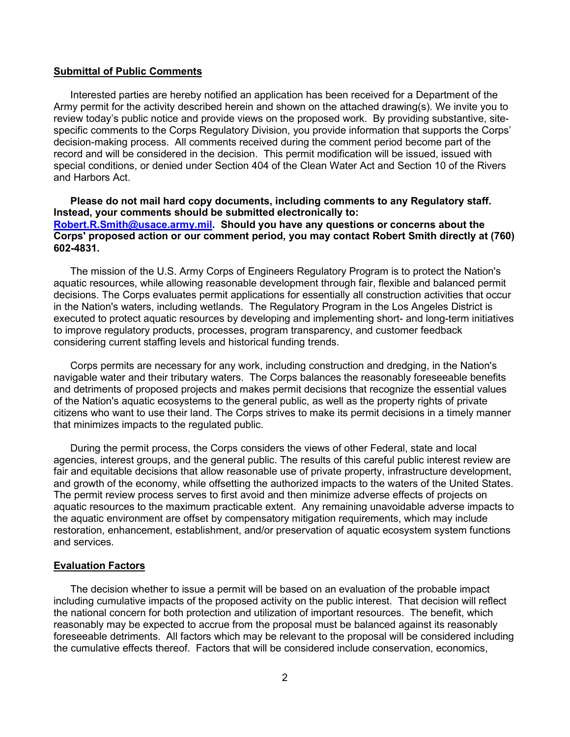### **Submittal of Public Comments**

Interested parties are hereby notified an application has been received for a Department of the Army permit for the activity described herein and shown on the attached drawing(s). We invite you to review today's public notice and provide views on the proposed work. By providing substantive, sitespecific comments to the Corps Regulatory Division, you provide information that supports the Corps' decision-making process. All comments received during the comment period become part of the record and will be considered in the decision. This permit modification will be issued, issued with special conditions, or denied under Section 404 of the Clean Water Act and Section 10 of the Rivers and Harbors Act.

### **Please do not mail hard copy documents, including comments to any Regulatory staff. Instead, your comments should be submitted electronically to: Robert.R.Smith@usace.army.mil. Should you have any questions or concerns about the Corps' proposed action or our comment period, you may contact Robert Smith directly at (760) 602-4831.**

The mission of the U.S. Army Corps of Engineers Regulatory Program is to protect the Nation's aquatic resources, while allowing reasonable development through fair, flexible and balanced permit decisions. The Corps evaluates permit applications for essentially all construction activities that occur in the Nation's waters, including wetlands. The Regulatory Program in the Los Angeles District is executed to protect aquatic resources by developing and implementing short- and long-term initiatives to improve regulatory products, processes, program transparency, and customer feedback considering current staffing levels and historical funding trends.

Corps permits are necessary for any work, including construction and dredging, in the Nation's navigable water and their tributary waters. The Corps balances the reasonably foreseeable benefits and detriments of proposed projects and makes permit decisions that recognize the essential values of the Nation's aquatic ecosystems to the general public, as well as the property rights of private citizens who want to use their land. The Corps strives to make its permit decisions in a timely manner that minimizes impacts to the regulated public.

During the permit process, the Corps considers the views of other Federal, state and local agencies, interest groups, and the general public. The results of this careful public interest review are fair and equitable decisions that allow reasonable use of private property, infrastructure development, and growth of the economy, while offsetting the authorized impacts to the waters of the United States. The permit review process serves to first avoid and then minimize adverse effects of projects on aquatic resources to the maximum practicable extent. Any remaining unavoidable adverse impacts to the aquatic environment are offset by compensatory mitigation requirements, which may include restoration, enhancement, establishment, and/or preservation of aquatic ecosystem system functions and services.

#### **Evaluation Factors**

The decision whether to issue a permit will be based on an evaluation of the probable impact including cumulative impacts of the proposed activity on the public interest. That decision will reflect the national concern for both protection and utilization of important resources. The benefit, which reasonably may be expected to accrue from the proposal must be balanced against its reasonably foreseeable detriments. All factors which may be relevant to the proposal will be considered including the cumulative effects thereof. Factors that will be considered include conservation, economics,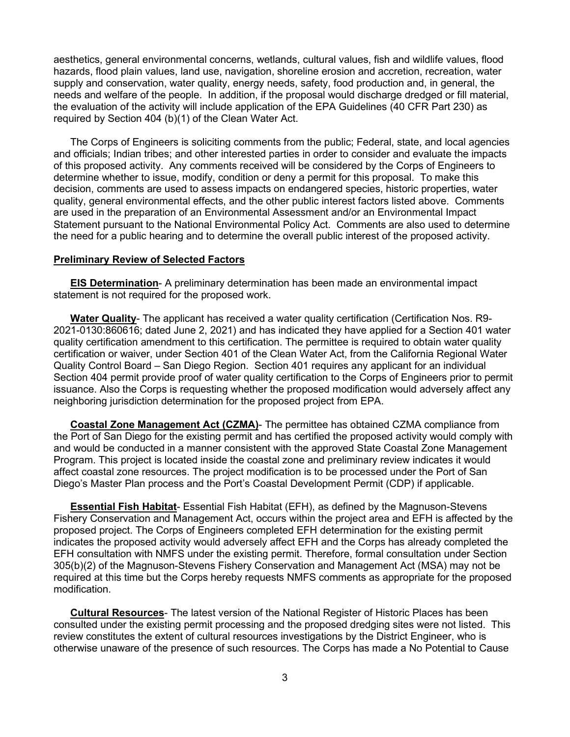aesthetics, general environmental concerns, wetlands, cultural values, fish and wildlife values, flood hazards, flood plain values, land use, navigation, shoreline erosion and accretion, recreation, water supply and conservation, water quality, energy needs, safety, food production and, in general, the needs and welfare of the people. In addition, if the proposal would discharge dredged or fill material, the evaluation of the activity will include application of the EPA Guidelines (40 CFR Part 230) as required by Section 404 (b)(1) of the Clean Water Act.

The Corps of Engineers is soliciting comments from the public; Federal, state, and local agencies and officials; Indian tribes; and other interested parties in order to consider and evaluate the impacts of this proposed activity. Any comments received will be considered by the Corps of Engineers to determine whether to issue, modify, condition or deny a permit for this proposal. To make this decision, comments are used to assess impacts on endangered species, historic properties, water quality, general environmental effects, and the other public interest factors listed above. Comments are used in the preparation of an Environmental Assessment and/or an Environmental Impact Statement pursuant to the National Environmental Policy Act. Comments are also used to determine the need for a public hearing and to determine the overall public interest of the proposed activity.

#### **Preliminary Review of Selected Factors**

**EIS Determination**- A preliminary determination has been made an environmental impact statement is not required for the proposed work.

**Water Quality**- The applicant has received a water quality certification (Certification Nos. R9- 2021-0130:860616; dated June 2, 2021) and has indicated they have applied for a Section 401 water quality certification amendment to this certification. The permittee is required to obtain water quality certification or waiver, under Section 401 of the Clean Water Act, from the California Regional Water Quality Control Board – San Diego Region. Section 401 requires any applicant for an individual Section 404 permit provide proof of water quality certification to the Corps of Engineers prior to permit issuance. Also the Corps is requesting whether the proposed modification would adversely affect any neighboring jurisdiction determination for the proposed project from EPA.

**Coastal Zone Management Act (CZMA)**- The permittee has obtained CZMA compliance from the Port of San Diego for the existing permit and has certified the proposed activity would comply with and would be conducted in a manner consistent with the approved State Coastal Zone Management Program. This project is located inside the coastal zone and preliminary review indicates it would affect coastal zone resources. The project modification is to be processed under the Port of San Diego's Master Plan process and the Port's Coastal Development Permit (CDP) if applicable.

**Essential Fish Habitat**- Essential Fish Habitat (EFH), as defined by the Magnuson-Stevens Fishery Conservation and Management Act, occurs within the project area and EFH is affected by the proposed project. The Corps of Engineers completed EFH determination for the existing permit indicates the proposed activity would adversely affect EFH and the Corps has already completed the EFH consultation with NMFS under the existing permit. Therefore, formal consultation under Section 305(b)(2) of the Magnuson-Stevens Fishery Conservation and Management Act (MSA) may not be required at this time but the Corps hereby requests NMFS comments as appropriate for the proposed modification.

**Cultural Resources**- The latest version of the National Register of Historic Places has been consulted under the existing permit processing and the proposed dredging sites were not listed. This review constitutes the extent of cultural resources investigations by the District Engineer, who is otherwise unaware of the presence of such resources. The Corps has made a No Potential to Cause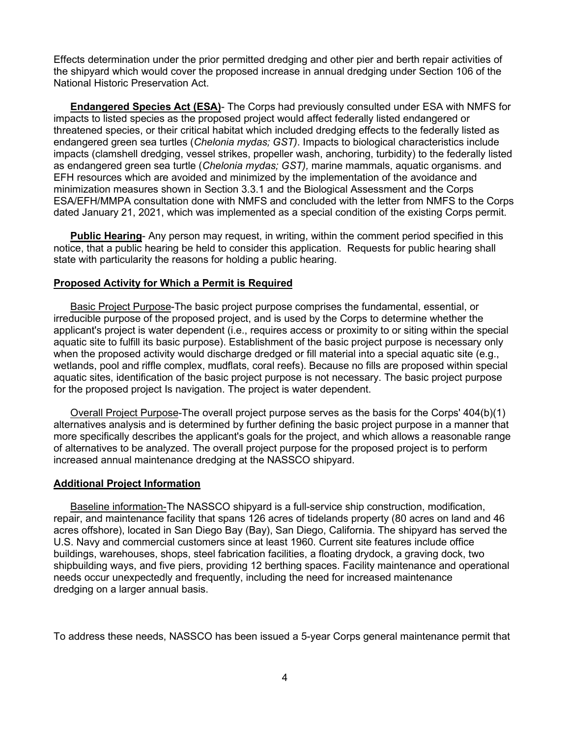Effects determination under the prior permitted dredging and other pier and berth repair activities of the shipyard which would cover the proposed increase in annual dredging under Section 106 of the National Historic Preservation Act.

**Endangered Species Act (ESA)**- The Corps had previously consulted under ESA with NMFS for impacts to listed species as the proposed project would affect federally listed endangered or threatened species, or their critical habitat which included dredging effects to the federally listed as endangered green sea turtles (*Chelonia mydas; GST)*. Impacts to biological characteristics include impacts (clamshell dredging, vessel strikes, propeller wash, anchoring, turbidity) to the federally listed as endangered green sea turtle (*Chelonia mydas; GST),* marine mammals, aquatic organisms. and EFH resources which are avoided and minimized by the implementation of the avoidance and minimization measures shown in Section 3.3.1 and the Biological Assessment and the Corps ESA/EFH/MMPA consultation done with NMFS and concluded with the letter from NMFS to the Corps dated January 21, 2021, which was implemented as a special condition of the existing Corps permit.

**Public Hearing**- Any person may request, in writing, within the comment period specified in this notice, that a public hearing be held to consider this application. Requests for public hearing shall state with particularity the reasons for holding a public hearing.

#### **Proposed Activity for Which a Permit is Required**

Basic Project Purpose-The basic project purpose comprises the fundamental, essential, or irreducible purpose of the proposed project, and is used by the Corps to determine whether the applicant's project is water dependent (i.e., requires access or proximity to or siting within the special aquatic site to fulfill its basic purpose). Establishment of the basic project purpose is necessary only when the proposed activity would discharge dredged or fill material into a special aquatic site (e.g., wetlands, pool and riffle complex, mudflats, coral reefs). Because no fills are proposed within special aquatic sites, identification of the basic project purpose is not necessary. The basic project purpose for the proposed project Is navigation. The project is water dependent.

Overall Project Purpose-The overall project purpose serves as the basis for the Corps' 404(b)(1) alternatives analysis and is determined by further defining the basic project purpose in a manner that more specifically describes the applicant's goals for the project, and which allows a reasonable range of alternatives to be analyzed. The overall project purpose for the proposed project is to perform increased annual maintenance dredging at the NASSCO shipyard.

#### **Additional Project Information**

Baseline information-The NASSCO shipyard is a full-service ship construction, modification, repair, and maintenance facility that spans 126 acres of tidelands property (80 acres on land and 46 acres offshore), located in San Diego Bay (Bay), San Diego, California. The shipyard has served the U.S. Navy and commercial customers since at least 1960. Current site features include office buildings, warehouses, shops, steel fabrication facilities, a floating drydock, a graving dock, two shipbuilding ways, and five piers, providing 12 berthing spaces. Facility maintenance and operational needs occur unexpectedly and frequently, including the need for increased maintenance dredging on a larger annual basis.

To address these needs, NASSCO has been issued a 5-year Corps general maintenance permit that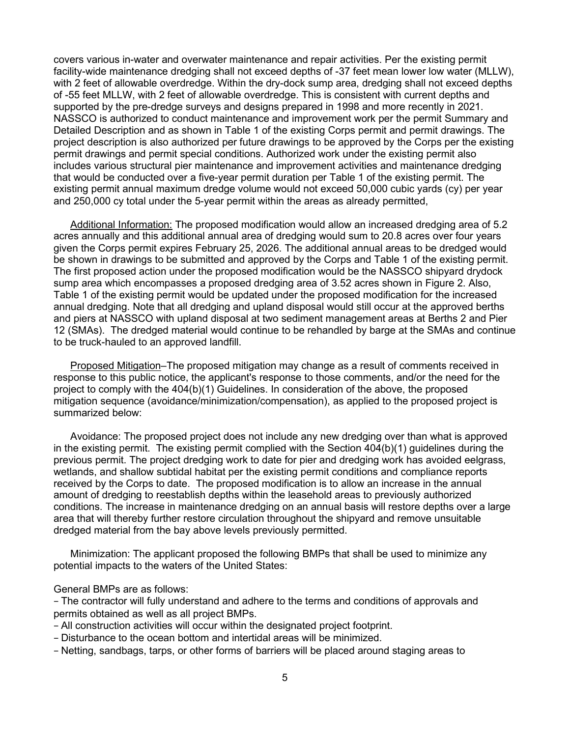covers various in-water and overwater maintenance and repair activities. Per the existing permit facility-wide maintenance dredging shall not exceed depths of -37 feet mean lower low water (MLLW), with 2 feet of allowable overdredge. Within the dry-dock sump area, dredging shall not exceed depths of -55 feet MLLW, with 2 feet of allowable overdredge. This is consistent with current depths and supported by the pre-dredge surveys and designs prepared in 1998 and more recently in 2021. NASSCO is authorized to conduct maintenance and improvement work per the permit Summary and Detailed Description and as shown in Table 1 of the existing Corps permit and permit drawings. The project description is also authorized per future drawings to be approved by the Corps per the existing permit drawings and permit special conditions. Authorized work under the existing permit also includes various structural pier maintenance and improvement activities and maintenance dredging that would be conducted over a five-year permit duration per Table 1 of the existing permit. The existing permit annual maximum dredge volume would not exceed 50,000 cubic yards (cy) per year and 250,000 cy total under the 5-year permit within the areas as already permitted,

Additional Information: The proposed modification would allow an increased dredging area of 5.2 acres annually and this additional annual area of dredging would sum to 20.8 acres over four years given the Corps permit expires February 25, 2026. The additional annual areas to be dredged would be shown in drawings to be submitted and approved by the Corps and Table 1 of the existing permit. The first proposed action under the proposed modification would be the NASSCO shipyard drydock sump area which encompasses a proposed dredging area of 3.52 acres shown in Figure 2. Also, Table 1 of the existing permit would be updated under the proposed modification for the increased annual dredging. Note that all dredging and upland disposal would still occur at the approved berths and piers at NASSCO with upland disposal at two sediment management areas at Berths 2 and Pier 12 (SMAs). The dredged material would continue to be rehandled by barge at the SMAs and continue to be truck-hauled to an approved landfill.

Proposed Mitigation–The proposed mitigation may change as a result of comments received in response to this public notice, the applicant's response to those comments, and/or the need for the project to comply with the 404(b)(1) Guidelines. In consideration of the above, the proposed mitigation sequence (avoidance/minimization/compensation), as applied to the proposed project is summarized below:

Avoidance: The proposed project does not include any new dredging over than what is approved in the existing permit. The existing permit complied with the Section 404(b)(1) guidelines during the previous permit. The project dredging work to date for pier and dredging work has avoided eelgrass, wetlands, and shallow subtidal habitat per the existing permit conditions and compliance reports received by the Corps to date. The proposed modification is to allow an increase in the annual amount of dredging to reestablish depths within the leasehold areas to previously authorized conditions. The increase in maintenance dredging on an annual basis will restore depths over a large area that will thereby further restore circulation throughout the shipyard and remove unsuitable dredged material from the bay above levels previously permitted.

Minimization: The applicant proposed the following BMPs that shall be used to minimize any potential impacts to the waters of the United States:

General BMPs are as follows:

− The contractor will fully understand and adhere to the terms and conditions of approvals and permits obtained as well as all project BMPs.

− All construction activities will occur within the designated project footprint.

- − Disturbance to the ocean bottom and intertidal areas will be minimized.
- − Netting, sandbags, tarps, or other forms of barriers will be placed around staging areas to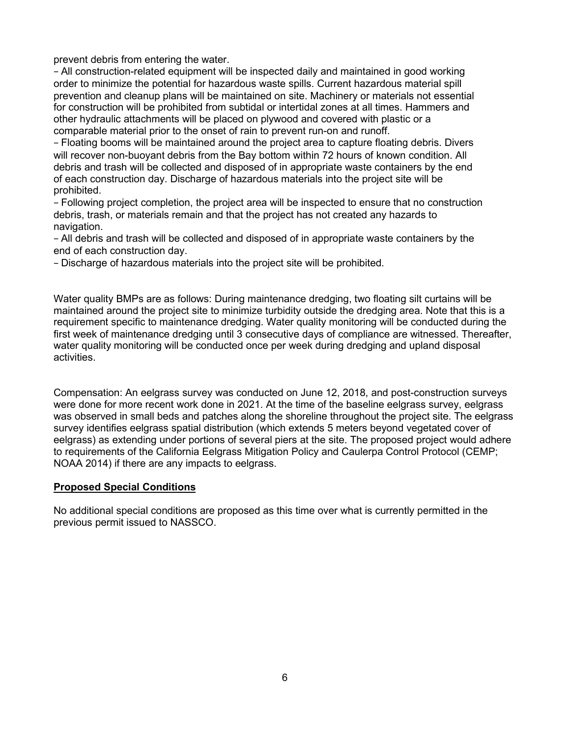prevent debris from entering the water.

− All construction-related equipment will be inspected daily and maintained in good working order to minimize the potential for hazardous waste spills. Current hazardous material spill prevention and cleanup plans will be maintained on site. Machinery or materials not essential for construction will be prohibited from subtidal or intertidal zones at all times. Hammers and other hydraulic attachments will be placed on plywood and covered with plastic or a comparable material prior to the onset of rain to prevent run-on and runoff.

− Floating booms will be maintained around the project area to capture floating debris. Divers will recover non-buoyant debris from the Bay bottom within 72 hours of known condition. All debris and trash will be collected and disposed of in appropriate waste containers by the end of each construction day. Discharge of hazardous materials into the project site will be prohibited.

− Following project completion, the project area will be inspected to ensure that no construction debris, trash, or materials remain and that the project has not created any hazards to navigation.

− All debris and trash will be collected and disposed of in appropriate waste containers by the end of each construction day.

− Discharge of hazardous materials into the project site will be prohibited.

Water quality BMPs are as follows: During maintenance dredging, two floating silt curtains will be maintained around the project site to minimize turbidity outside the dredging area. Note that this is a requirement specific to maintenance dredging. Water quality monitoring will be conducted during the first week of maintenance dredging until 3 consecutive days of compliance are witnessed. Thereafter, water quality monitoring will be conducted once per week during dredging and upland disposal activities.

Compensation: An eelgrass survey was conducted on June 12, 2018, and post-construction surveys were done for more recent work done in 2021. At the time of the baseline eelgrass survey, eelgrass was observed in small beds and patches along the shoreline throughout the project site. The eelgrass survey identifies eelgrass spatial distribution (which extends 5 meters beyond vegetated cover of eelgrass) as extending under portions of several piers at the site. The proposed project would adhere to requirements of the California Eelgrass Mitigation Policy and Caulerpa Control Protocol (CEMP; NOAA 2014) if there are any impacts to eelgrass.

## **Proposed Special Conditions**

No additional special conditions are proposed as this time over what is currently permitted in the previous permit issued to NASSCO.